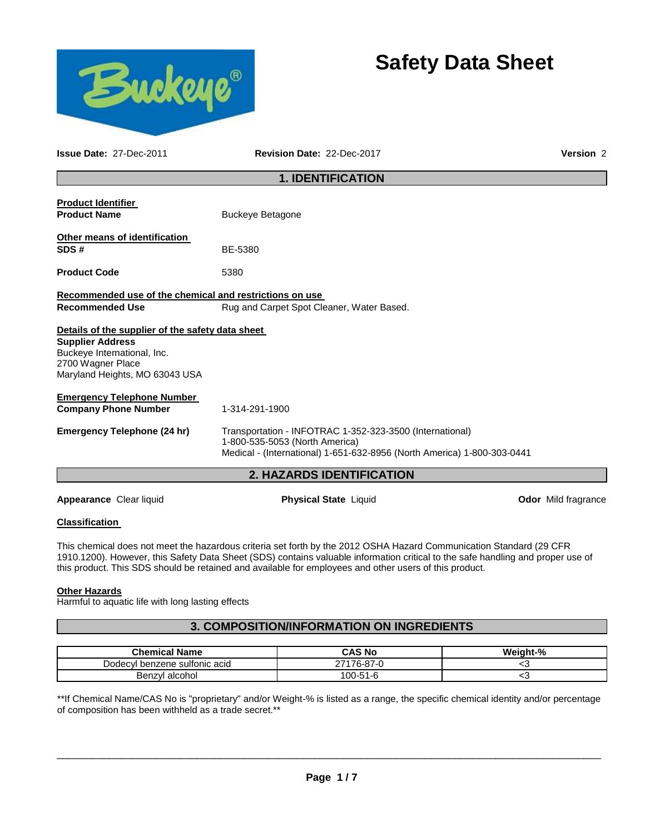



**Issue Date:** 27-Dec-2011 **Revision Date:** 22-Dec-2017 **Version** 2

### **1. IDENTIFICATION**

| <b>Product Identifier</b>                               |                                                                                            |  |  |
|---------------------------------------------------------|--------------------------------------------------------------------------------------------|--|--|
| <b>Product Name</b>                                     | <b>Buckeye Betagone</b>                                                                    |  |  |
| <b>Other means of identification</b>                    |                                                                                            |  |  |
| SDS#                                                    | BE-5380                                                                                    |  |  |
| <b>Product Code</b>                                     | 5380                                                                                       |  |  |
| Recommended use of the chemical and restrictions on use |                                                                                            |  |  |
| <b>Recommended Use</b>                                  | Rug and Carpet Spot Cleaner, Water Based.                                                  |  |  |
| Details of the supplier of the safety data sheet        |                                                                                            |  |  |
| <b>Supplier Address</b>                                 |                                                                                            |  |  |
| Buckeye International, Inc.<br>2700 Wagner Place        |                                                                                            |  |  |
| Maryland Heights, MO 63043 USA                          |                                                                                            |  |  |
| <b>Emergency Telephone Number</b>                       |                                                                                            |  |  |
| <b>Company Phone Number</b>                             | 1-314-291-1900                                                                             |  |  |
| <b>Emergency Telephone (24 hr)</b>                      | Transportation - INFOTRAC 1-352-323-3500 (International)<br>1-800-535-5053 (North America) |  |  |
|                                                         | Medical - (International) 1-651-632-8956 (North America) 1-800-303-0441                    |  |  |
| <b>2. HAZARDS IDENTIFICATION</b>                        |                                                                                            |  |  |
|                                                         |                                                                                            |  |  |

**Appearance** Clear liquid **Physical State** Liquid **Odor** Mild fragrance

#### **Classification**

This chemical does not meet the hazardous criteria set forth by the 2012 OSHA Hazard Communication Standard (29 CFR 1910.1200). However, this Safety Data Sheet (SDS) contains valuable information critical to the safe handling and proper use of this product. This SDS should be retained and available for employees and other users of this product.

#### **Other Hazards**

Harmful to aquatic life with long lasting effects

# **3. COMPOSITION/INFORMATION ON INGREDIENTS**

| <b>Chemical Name</b>          | CAS No     | Weight-% |
|-------------------------------|------------|----------|
| Dodecyl benzene sulfonic acid | 27176-87-0 |          |
| Benzyl alcohol                | 100-51-6   | ◡        |

\*\*If Chemical Name/CAS No is "proprietary" and/or Weight-% is listed as a range, the specific chemical identity and/or percentage of composition has been withheld as a trade secret.\*\*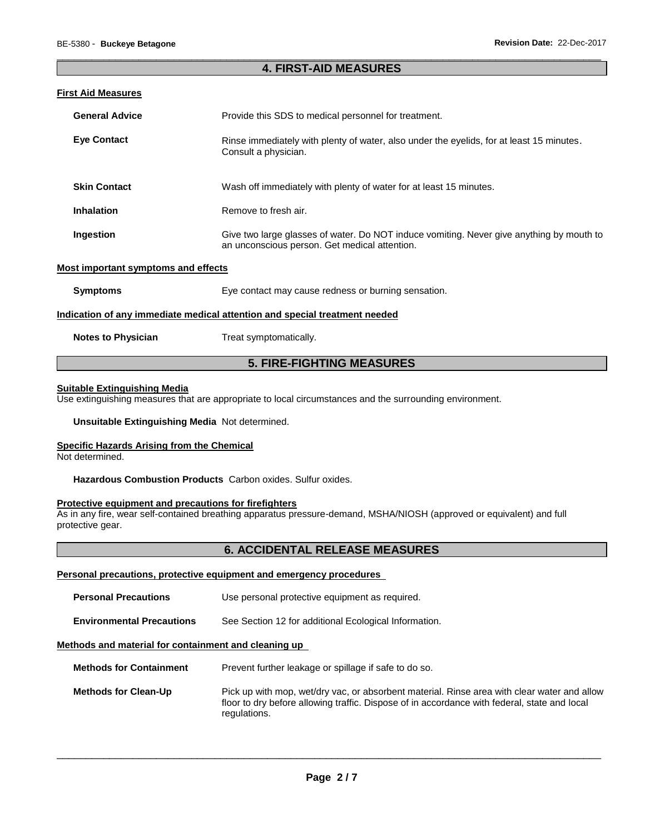#### \_\_\_\_\_\_\_\_\_\_\_\_\_\_\_\_\_\_\_\_\_\_\_\_\_\_\_\_\_\_\_\_\_\_\_\_\_\_\_\_\_\_\_\_\_\_\_\_\_\_\_\_\_\_\_\_\_\_\_\_\_\_\_\_\_\_\_\_\_\_\_\_\_\_\_\_\_\_\_\_\_\_\_\_\_\_\_\_\_\_\_\_\_ **4. FIRST-AID MEASURES**

#### **First Aid Measures**

| <b>General Advice</b>                      | Provide this SDS to medical personnel for treatment.                                                                                      |  |
|--------------------------------------------|-------------------------------------------------------------------------------------------------------------------------------------------|--|
| <b>Eye Contact</b>                         | Rinse immediately with plenty of water, also under the eyelids, for at least 15 minutes.<br>Consult a physician.                          |  |
| <b>Skin Contact</b>                        | Wash off immediately with plenty of water for at least 15 minutes.                                                                        |  |
| <b>Inhalation</b>                          | Remove to fresh air.                                                                                                                      |  |
| Ingestion                                  | Give two large glasses of water. Do NOT induce vomiting. Never give anything by mouth to<br>an unconscious person. Get medical attention. |  |
| <b>Most important symptoms and effects</b> |                                                                                                                                           |  |
| <b>Symptoms</b>                            | Eye contact may cause redness or burning sensation.                                                                                       |  |
|                                            | Indication of any immediate medical attention and special treatment needed                                                                |  |
| <b>Notes to Physician</b>                  | Treat symptomatically.                                                                                                                    |  |

# **5. FIRE-FIGHTING MEASURES**

#### **Suitable Extinguishing Media**

Use extinguishing measures that are appropriate to local circumstances and the surrounding environment.

**Unsuitable Extinguishing Media** Not determined.

#### **Specific Hazards Arising from the Chemical**

Not determined.

**Hazardous Combustion Products** Carbon oxides. Sulfur oxides.

#### **Protective equipment and precautions for firefighters**

As in any fire, wear self-contained breathing apparatus pressure-demand, MSHA/NIOSH (approved or equivalent) and full protective gear.

# **6. ACCIDENTAL RELEASE MEASURES**

#### **Personal precautions, protective equipment and emergency procedures**

| <b>Personal Precautions</b>                          | Use personal protective equipment as required.                                                                                                                                                              |  |
|------------------------------------------------------|-------------------------------------------------------------------------------------------------------------------------------------------------------------------------------------------------------------|--|
| <b>Environmental Precautions</b>                     | See Section 12 for additional Ecological Information.                                                                                                                                                       |  |
| Methods and material for containment and cleaning up |                                                                                                                                                                                                             |  |
| <b>Methods for Containment</b>                       | Prevent further leakage or spillage if safe to do so.                                                                                                                                                       |  |
| <b>Methods for Clean-Up</b>                          | Pick up with mop, wet/dry vac, or absorbent material. Rinse area with clear water and allow<br>floor to dry before allowing traffic. Dispose of in accordance with federal, state and local<br>regulations. |  |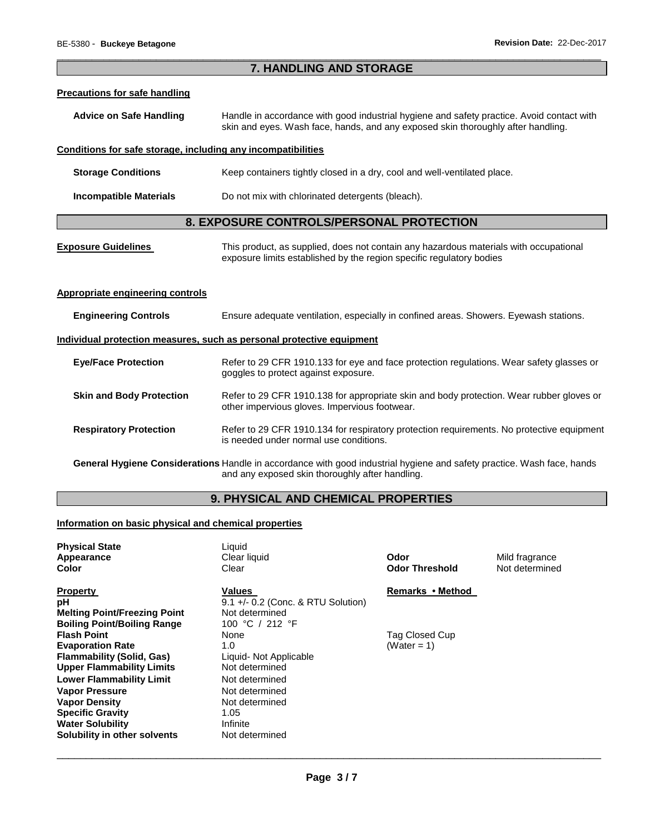| 7. HANDLING AND STORAGE                                                                                                                                                   |                                                                                                                                                                               |  |
|---------------------------------------------------------------------------------------------------------------------------------------------------------------------------|-------------------------------------------------------------------------------------------------------------------------------------------------------------------------------|--|
| <b>Precautions for safe handling</b>                                                                                                                                      |                                                                                                                                                                               |  |
| <b>Advice on Safe Handling</b>                                                                                                                                            | Handle in accordance with good industrial hygiene and safety practice. Avoid contact with<br>skin and eyes. Wash face, hands, and any exposed skin thoroughly after handling. |  |
| Conditions for safe storage, including any incompatibilities                                                                                                              |                                                                                                                                                                               |  |
| <b>Storage Conditions</b>                                                                                                                                                 | Keep containers tightly closed in a dry, cool and well-ventilated place.                                                                                                      |  |
| <b>Incompatible Materials</b>                                                                                                                                             | Do not mix with chlorinated detergents (bleach).                                                                                                                              |  |
|                                                                                                                                                                           | 8. EXPOSURE CONTROLS/PERSONAL PROTECTION                                                                                                                                      |  |
| <b>Exposure Guidelines</b>                                                                                                                                                | This product, as supplied, does not contain any hazardous materials with occupational<br>exposure limits established by the region specific regulatory bodies                 |  |
| <b>Appropriate engineering controls</b>                                                                                                                                   |                                                                                                                                                                               |  |
| <b>Engineering Controls</b>                                                                                                                                               | Ensure adequate ventilation, especially in confined areas. Showers. Eyewash stations.                                                                                         |  |
| Individual protection measures, such as personal protective equipment                                                                                                     |                                                                                                                                                                               |  |
| <b>Eye/Face Protection</b>                                                                                                                                                | Refer to 29 CFR 1910.133 for eye and face protection regulations. Wear safety glasses or<br>goggles to protect against exposure.                                              |  |
| <b>Skin and Body Protection</b>                                                                                                                                           | Refer to 29 CFR 1910.138 for appropriate skin and body protection. Wear rubber gloves or<br>other impervious gloves. Impervious footwear.                                     |  |
| <b>Respiratory Protection</b>                                                                                                                                             | Refer to 29 CFR 1910.134 for respiratory protection requirements. No protective equipment<br>is needed under normal use conditions.                                           |  |
| General Hygiene Considerations Handle in accordance with good industrial hygiene and safety practice. Wash face, hands<br>and any exposed skin thoroughly after handling. |                                                                                                                                                                               |  |

# **9. PHYSICAL AND CHEMICAL PROPERTIES**

# **Information on basic physical and chemical properties**

| <b>Physical State</b><br>Appearance<br>Color | Liquid<br>Clear liquid<br>Clear      | Odor<br><b>Odor Threshold</b> | Mild fragrance<br>Not determined |
|----------------------------------------------|--------------------------------------|-------------------------------|----------------------------------|
| <b>Property</b>                              | Values                               | Remarks • Method              |                                  |
| рH                                           | $9.1 +/- 0.2$ (Conc. & RTU Solution) |                               |                                  |
| <b>Melting Point/Freezing Point</b>          | Not determined                       |                               |                                  |
| <b>Boiling Point/Boiling Range</b>           | 100 °C / 212 °F                      |                               |                                  |
| <b>Flash Point</b>                           | None                                 | Tag Closed Cup                |                                  |
| <b>Evaporation Rate</b>                      | 1.0                                  | (Water = $1$ )                |                                  |
| <b>Flammability (Solid, Gas)</b>             | Liquid- Not Applicable               |                               |                                  |
| <b>Upper Flammability Limits</b>             | Not determined                       |                               |                                  |
| <b>Lower Flammability Limit</b>              | Not determined                       |                               |                                  |
| <b>Vapor Pressure</b>                        | Not determined                       |                               |                                  |
| <b>Vapor Density</b>                         | Not determined                       |                               |                                  |
| <b>Specific Gravity</b>                      | 1.05                                 |                               |                                  |
| <b>Water Solubility</b>                      | Infinite                             |                               |                                  |
| Solubility in other solvents                 | Not determined                       |                               |                                  |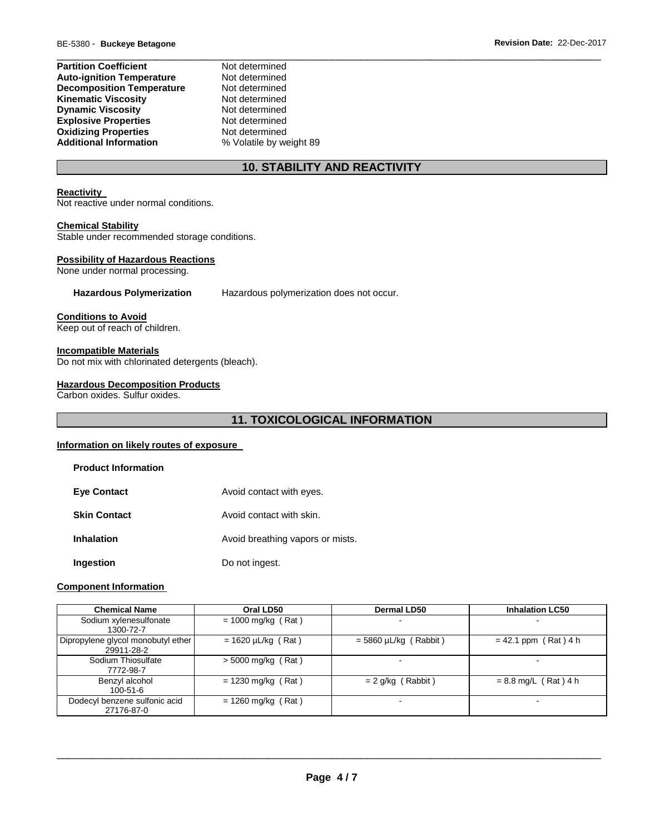| <b>Partition Coefficient</b>     | Not determined          |  |
|----------------------------------|-------------------------|--|
| <b>Auto-ignition Temperature</b> | Not determined          |  |
| <b>Decomposition Temperature</b> | Not determined          |  |
| Kinematic Viscosity              | Not determined          |  |
| <b>Dynamic Viscosity</b>         | Not determined          |  |
| <b>Explosive Properties</b>      | Not determined          |  |
| <b>Oxidizing Properties</b>      | Not determined          |  |
| <b>Additional Information</b>    | % Volatile by weight 89 |  |

# **10. STABILITY AND REACTIVITY**

#### **Reactivity**

Not reactive under normal conditions.

#### **Chemical Stability**

Stable under recommended storage conditions.

#### **Possibility of Hazardous Reactions**

None under normal processing.

**Hazardous Polymerization** Hazardous polymerization does not occur.

#### **Conditions to Avoid**

Keep out of reach of children.

#### **Incompatible Materials**

Do not mix with chlorinated detergents (bleach).

#### **Hazardous Decomposition Products**

Carbon oxides. Sulfur oxides.

# **11. TOXICOLOGICAL INFORMATION**

#### **Information on likely routes of exposure**

| <b>Product Information</b> |                                  |
|----------------------------|----------------------------------|
| <b>Eve Contact</b>         | Avoid contact with eyes.         |
| <b>Skin Contact</b>        | Avoid contact with skin.         |
| <b>Inhalation</b>          | Avoid breathing vapors or mists. |
| Ingestion                  | Do not ingest.                   |

#### **Component Information**

| <b>Chemical Name</b>                             | Oral LD50               | <b>Dermal LD50</b>      | <b>Inhalation LC50</b> |
|--------------------------------------------------|-------------------------|-------------------------|------------------------|
| Sodium xylenesulfonate<br>1300-72-7              | $= 1000$ mg/kg (Rat)    |                         |                        |
| Dipropylene glycol monobutyl ether<br>29911-28-2 | $= 1620 \mu L/kg$ (Rat) | $=$ 5860 µL/kg (Rabbit) | $= 42.1$ ppm (Rat) 4 h |
| Sodium Thiosulfate<br>7772-98-7                  | $>$ 5000 mg/kg (Rat)    |                         | -                      |
| Benzyl alcohol<br>$100 - 51 - 6$                 | $= 1230$ mg/kg (Rat)    | $= 2$ g/kg (Rabbit)     | $= 8.8$ mg/L (Rat) 4 h |
| Dodecyl benzene sulfonic acid<br>27176-87-0      | $= 1260$ mg/kg (Rat)    |                         | $\,$                   |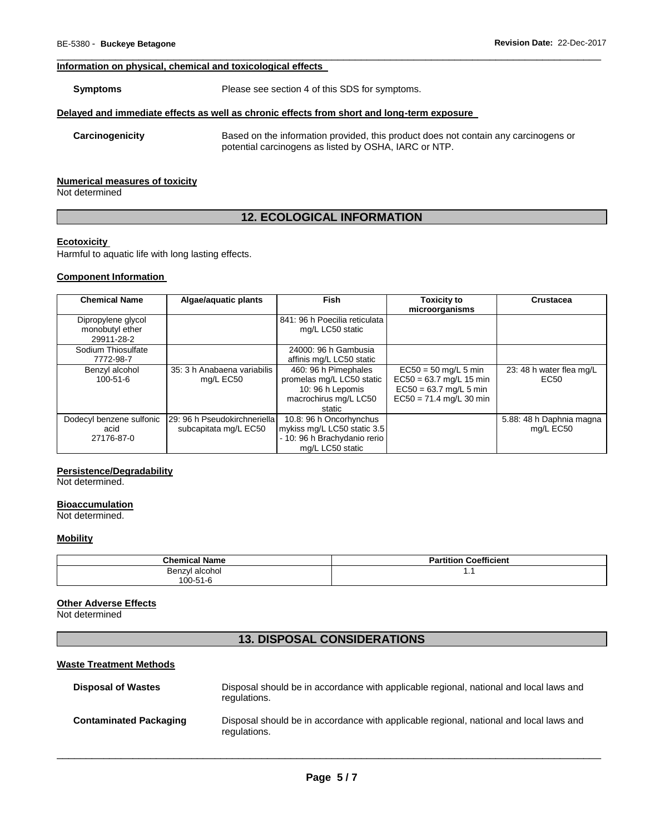#### **Information on physical, chemical and toxicological effects**

**Symptoms** Please see section 4 of this SDS for symptoms.

#### **Delayed and immediate effects as well as chronic effects from short and long-term exposure**

**Carcinogenicity** Based on the information provided, this product does not contain any carcinogens or potential carcinogens as listed by OSHA, IARC or NTP.

#### **Numerical measures of toxicity**

Not determined

# **12. ECOLOGICAL INFORMATION**

\_\_\_\_\_\_\_\_\_\_\_\_\_\_\_\_\_\_\_\_\_\_\_\_\_\_\_\_\_\_\_\_\_\_\_\_\_\_\_\_\_\_\_\_\_\_\_\_\_\_\_\_\_\_\_\_\_\_\_\_\_\_\_\_\_\_\_\_\_\_\_\_\_\_\_\_\_\_\_\_\_\_\_\_\_\_\_\_\_\_\_\_\_

#### **Ecotoxicity**

Harmful to aquatic life with long lasting effects.

#### **Component Information**

| <b>Chemical Name</b>     | Algae/aquatic plants           | <b>Fish</b>                   | <b>Toxicity to</b>        | <b>Crustacea</b>         |
|--------------------------|--------------------------------|-------------------------------|---------------------------|--------------------------|
|                          |                                |                               | microorganisms            |                          |
| Dipropylene glycol       |                                | 841: 96 h Poecilia reticulata |                           |                          |
| monobutyl ether          |                                | mg/L LC50 static              |                           |                          |
| 29911-28-2               |                                |                               |                           |                          |
| Sodium Thiosulfate       |                                | 24000: 96 h Gambusia          |                           |                          |
| 7772-98-7                |                                | affinis mg/L LC50 static      |                           |                          |
| Benzyl alcohol           | 35: 3 h Anabaena variabilis    | 460: 96 h Pimephales          | $EC50 = 50$ mg/L 5 min    | 23: 48 h water flea mg/L |
| $100 - 51 - 6$           | mg/L EC50                      | promelas mg/L LC50 static     | $EC50 = 63.7$ mg/L 15 min | EC <sub>50</sub>         |
|                          |                                | 10: 96 h Lepomis              | $EC50 = 63.7$ mg/L 5 min  |                          |
|                          |                                | macrochirus mg/L LC50         | $EC50 = 71.4$ mg/L 30 min |                          |
|                          |                                | static                        |                           |                          |
| Dodecyl benzene sulfonic | 129: 96 h Pseudokirchneriella1 | 10.8: 96 h Oncorhynchus       |                           | 5.88: 48 h Daphnia magna |
| acid                     | subcapitata mg/L EC50          | mykiss mg/L LC50 static 3.5   |                           | mg/L EC50                |
| 27176-87-0               |                                | - 10: 96 h Brachydanio rerio  |                           |                          |
|                          |                                | mg/L LC50 static              |                           |                          |

#### **Persistence/Degradability**

Not determined.

#### **Bioaccumulation**

Not determined.

#### **Mobility**

| <b>Chemical Name</b> | <b>Partition Coefficient</b> |
|----------------------|------------------------------|
| Benzyl alcohol       | .                            |
| 100-51-6             |                              |

#### **Other Adverse Effects**

Not determined

# **13. DISPOSAL CONSIDERATIONS**

#### **Waste Treatment Methods**

| <b>Disposal of Wastes</b>     | Disposal should be in accordance with applicable regional, national and local laws and<br>regulations. |
|-------------------------------|--------------------------------------------------------------------------------------------------------|
| <b>Contaminated Packaging</b> | Disposal should be in accordance with applicable regional, national and local laws and<br>regulations. |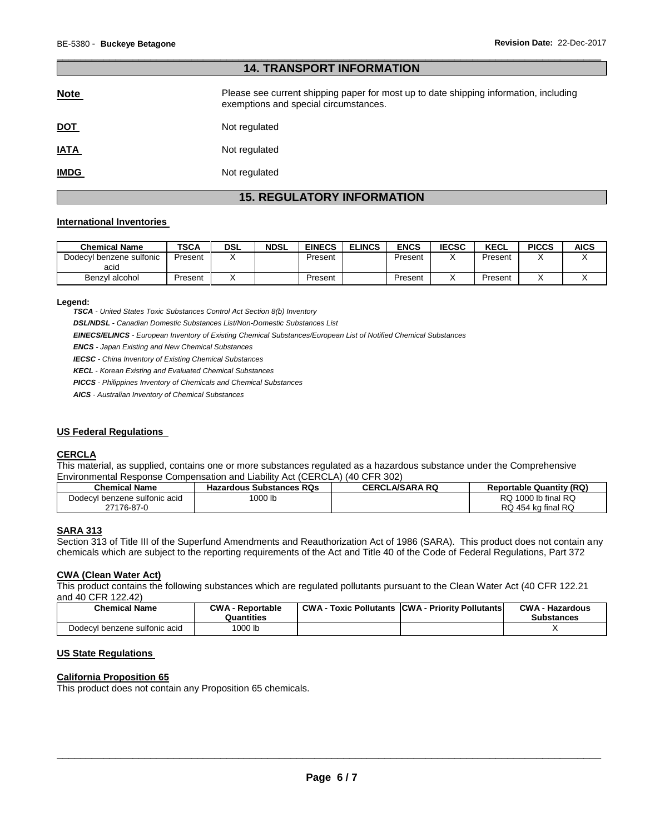# **14. TRANSPORT INFORMATION Note Please see current shipping paper for most up to date shipping information, including** exemptions and special circumstances. **DOT** Not regulated **IATA** Not regulated **IMDG** Not regulated

\_\_\_\_\_\_\_\_\_\_\_\_\_\_\_\_\_\_\_\_\_\_\_\_\_\_\_\_\_\_\_\_\_\_\_\_\_\_\_\_\_\_\_\_\_\_\_\_\_\_\_\_\_\_\_\_\_\_\_\_\_\_\_\_\_\_\_\_\_\_\_\_\_\_\_\_\_\_\_\_\_\_\_\_\_\_\_\_\_\_\_\_\_

# **15. REGULATORY INFORMATION**

#### **International Inventories**

| <b>Chemical Name</b>     | <b>TSCA</b> | <b>DSL</b> | <b>NDSL</b> | <b>EINECS</b> | <b>ELINCS</b> | <b>ENCS</b> | <b>IECSC</b> | <b>KECL</b> | <b>PICCS</b> | <b>AICS</b> |
|--------------------------|-------------|------------|-------------|---------------|---------------|-------------|--------------|-------------|--------------|-------------|
| Dodecyl benzene sulfonic | Present     |            |             | Present       |               | Present     |              | Present     |              |             |
| acid                     |             |            |             |               |               |             |              |             |              |             |
| Benzyl alcohol           | Present     |            |             | Present       |               | Present     |              | Present     |              |             |

#### **Legend:**

*TSCA - United States Toxic Substances Control Act Section 8(b) Inventory* 

*DSL/NDSL - Canadian Domestic Substances List/Non-Domestic Substances List* 

*EINECS/ELINCS - European Inventory of Existing Chemical Substances/European List of Notified Chemical Substances* 

*ENCS - Japan Existing and New Chemical Substances* 

*IECSC - China Inventory of Existing Chemical Substances* 

*KECL - Korean Existing and Evaluated Chemical Substances* 

*PICCS - Philippines Inventory of Chemicals and Chemical Substances* 

*AICS - Australian Inventory of Chemical Substances* 

#### **US Federal Regulations**

#### **CERCLA**

This material, as supplied, contains one or more substances regulated as a hazardous substance under the Comprehensive Environmental Response Compensation and Liability Act (CERCLA) (40 CFR 302)

| <b>Chemical Name</b>          | <b>Hazardous Substances RQs</b> | <b>CERCLA/SARA RQ</b> | <b>Reportable Quantity (RQ)</b> |
|-------------------------------|---------------------------------|-----------------------|---------------------------------|
| Dodecyl benzene sulfonic acid | 1000 lb                         |                       | $\,$ 1000 lb final RQ<br>RQ.    |
| 27176-87-0                    |                                 |                       | RQ 454 kg final RQ              |

#### **SARA 313**

Section 313 of Title III of the Superfund Amendments and Reauthorization Act of 1986 (SARA). This product does not contain any chemicals which are subject to the reporting requirements of the Act and Title 40 of the Code of Federal Regulations, Part 372

#### **CWA (Clean Water Act)**

This product contains the following substances which are regulated pollutants pursuant to the Clean Water Act (40 CFR 122.21 and 40 CFR 122.42)

| <b>Chemical Name</b>          | <b>CWA - Reportable</b><br>Quantities | CWA- | · Toxic Pollutants CCWA - Priority Pollutants | <b>CWA - Hazardous</b><br>Substances |
|-------------------------------|---------------------------------------|------|-----------------------------------------------|--------------------------------------|
| Dodecyl benzene sulfonic acid | 1000 lb                               |      |                                               |                                      |

# **US State Regulations**

#### **California Proposition 65**

This product does not contain any Proposition 65 chemicals.